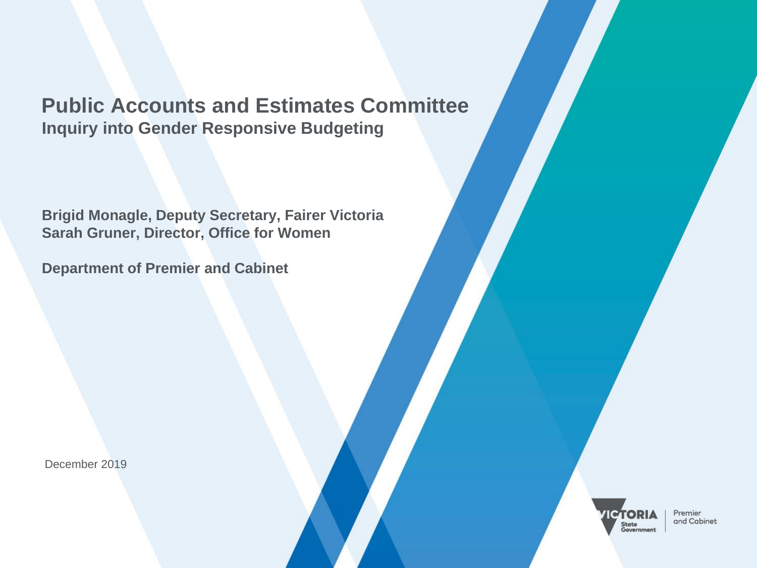# **Public Accounts and Estimates Committee Inquiry into Gender Responsive Budgeting**

**Brigid Monagle, Deputy Secretary, Fairer Victoria Sarah Gruner, Director, Office for Women**

**Department of Premier and Cabinet**

December 2019



Premier and Cabinet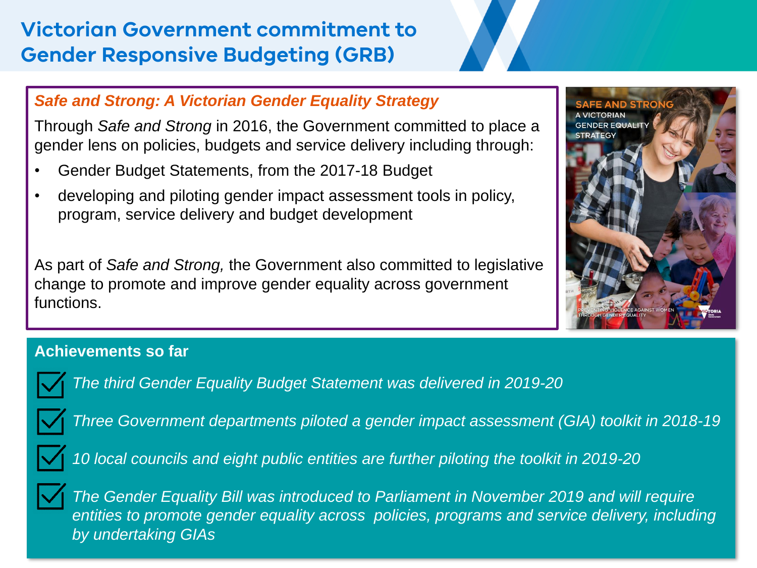# **Victorian Government commitment to Gender Responsive Budgeting (GRB)**

### *Safe and Strong: A Victorian Gender Equality Strategy*

Through *Safe and Strong* in 2016, the Government committed to place a gender lens on policies, budgets and service delivery including through:

- Gender Budget Statements, from the 2017-18 Budget
- developing and piloting gender impact assessment tools in policy, program, service delivery and budget development

As part of *Safe and Strong,* the Government also committed to legislative change to promote and improve gender equality across government functions.



#### **Achievements so far**



*The third Gender Equality Budget Statement was delivered in 2019-20*



*Three Government departments piloted a gender impact assessment (GIA) toolkit in 2018-19*



*10 local councils and eight public entities are further piloting the toolkit in 2019-20*



*The Gender Equality Bill was introduced to Parliament in November 2019 and will require*  entities to promote gender equality across policies, programs and service delivery, including *by undertaking GIAs*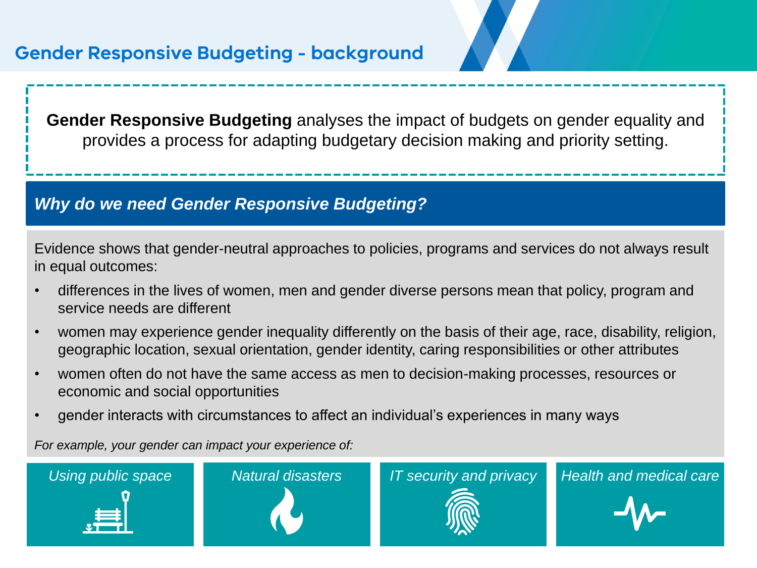# **Gender Responsive Budgeting - background**

**Gender Responsive Budgeting** analyses the impact of budgets on gender equality and provides a process for adapting budgetary decision making and priority setting.

#### *Why do we need Gender Responsive Budgeting?*

Evidence shows that gender-neutral approaches to policies, programs and services do not always result in equal outcomes:

- differences in the lives of women, men and gender diverse persons mean that policy, program and service needs are different
- women may experience gender inequality differently on the basis of their age, race, disability, religion, geographic location, sexual orientation, gender identity, caring responsibilities or other attributes
- women often do not have the same access as men to decision-making processes, resources or economic and social opportunities
- gender interacts with circumstances to affect an individual's experiences in many ways

*For example, your gender can impact your experience of:*

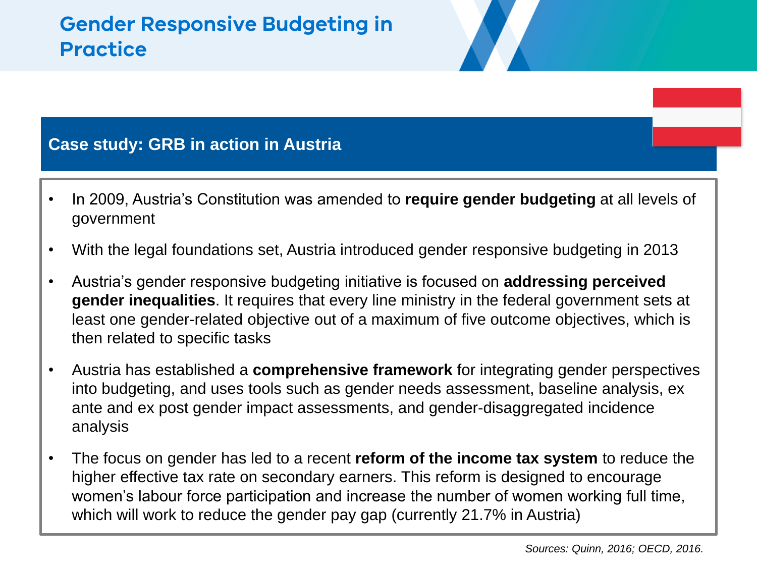# **Gender Responsive Budgeting in Practice**

### **Case study: GRB in action in Austria**

- In 2009, Austria's Constitution was amended to **require gender budgeting** at all levels of government
- With the legal foundations set, Austria introduced gender responsive budgeting in 2013
- Austria's gender responsive budgeting initiative is focused on **addressing perceived gender inequalities**. It requires that every line ministry in the federal government sets at least one gender-related objective out of a maximum of five outcome objectives, which is then related to specific tasks
- Austria has established a **comprehensive framework** for integrating gender perspectives into budgeting, and uses tools such as gender needs assessment, baseline analysis, ex ante and ex post gender impact assessments, and gender-disaggregated incidence analysis
- The focus on gender has led to a recent **reform of the income tax system** to reduce the higher effective tax rate on secondary earners. This reform is designed to encourage women's labour force participation and increase the number of women working full time, which will work to reduce the gender pay gap (currently 21.7% in Austria)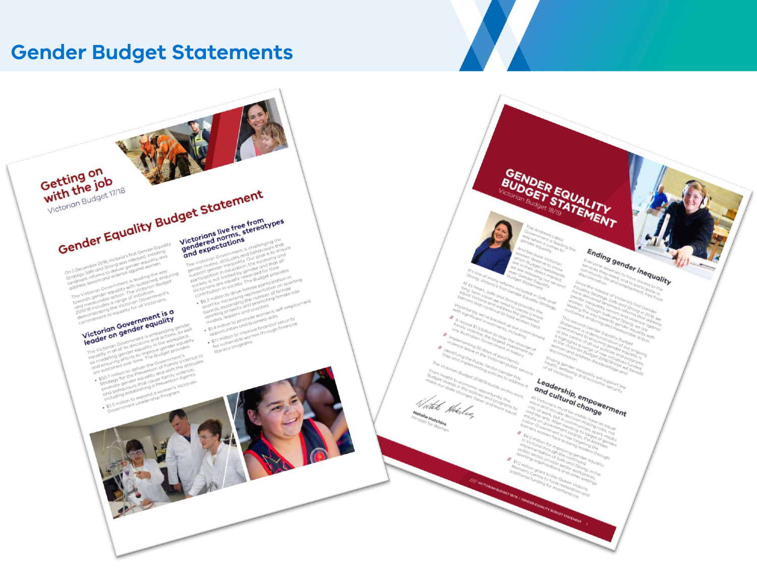## **Gender Budget Statements**

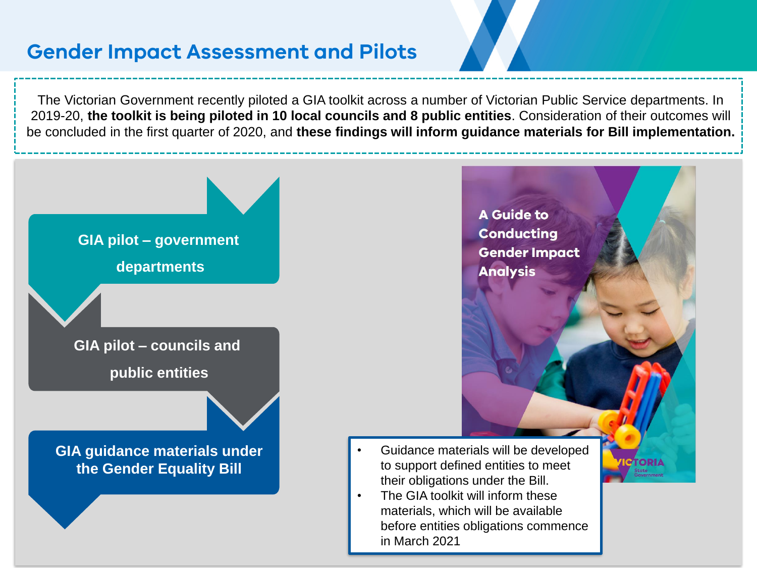# **Gender Impact Assessment and Pilots**

The Victorian Government recently piloted a GIA toolkit across a number of Victorian Public Service departments. In 2019-20, **the toolkit is being piloted in 10 local councils and 8 public entities**. Consideration of their outcomes will be concluded in the first quarter of 2020, and **these findings will inform guidance materials for Bill implementation.**

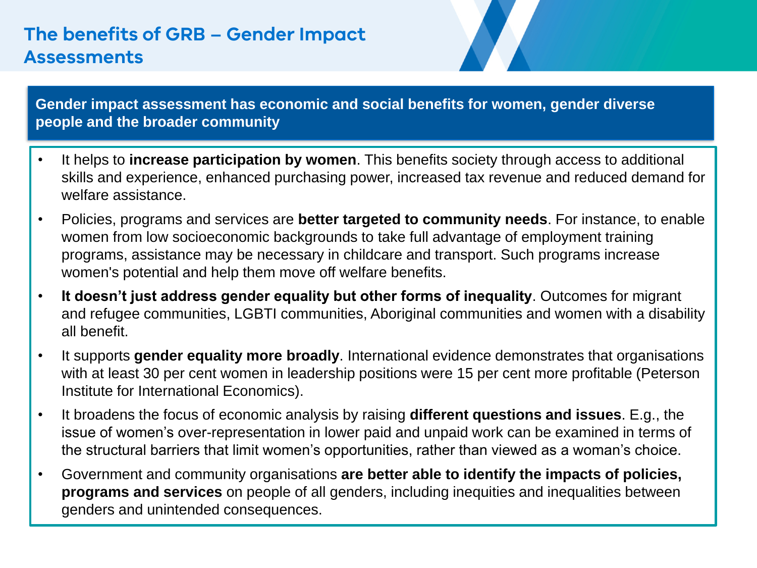# **The benefits of GRB – Gender Impact Assessments**

**Gender impact assessment has economic and social benefits for women, gender diverse people and the broader community**

- It helps to **increase participation by women**. This benefits society through access to additional skills and experience, enhanced purchasing power, increased tax revenue and reduced demand for welfare assistance
- Policies, programs and services are **better targeted to community needs**. For instance, to enable women from low socioeconomic backgrounds to take full advantage of employment training programs, assistance may be necessary in childcare and transport. Such programs increase women's potential and help them move off welfare benefits.
- **It doesn't just address gender equality but other forms of inequality**. Outcomes for migrant and refugee communities, LGBTI communities, Aboriginal communities and women with a disability all benefit.
- It supports **gender equality more broadly**. International evidence demonstrates that organisations with at least 30 per cent women in leadership positions were 15 per cent more profitable (Peterson Institute for International Economics).
- It broadens the focus of economic analysis by raising **different questions and issues**. E.g., the issue of women's over-representation in lower paid and unpaid work can be examined in terms of the structural barriers that limit women's opportunities, rather than viewed as a woman's choice.
- Government and community organisations **are better able to identify the impacts of policies, programs and services** on people of all genders, including inequities and inequalities between genders and unintended consequences.